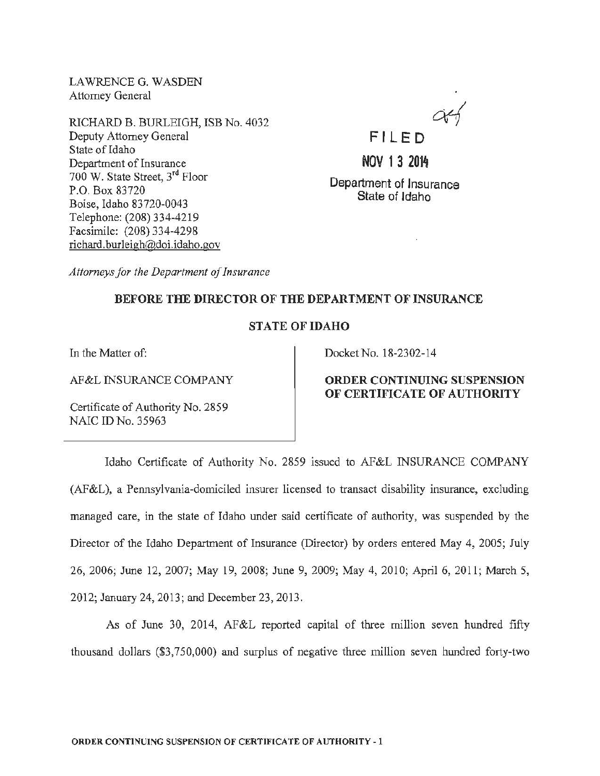LAWRENCE G. WASDEN Attorney General

RICHARD B. BURLEIGH, ISB No. 4032 Deputy Attorney General State of Idaho Department of Insurance 700 W. State Street, 3rd Floor P.O. Box 83720 Boise, Idaho 83720-0043 Telephone: (208) 334~4219 Facsimile: (208) 334-4298 richard. burleigh@doi.idaho.gov



NOV 1 3 2014

Department of Insurance State of Idaho

*Attorneys for the Department of Insurance* 

## BEFORE THE DIRECTOR OF THE DEPARTMENT OF INSURANCE

## STATE OF IDAHO

In the Matter of:

AF&L INSURANCE COMPANY

Certificate of Authority No. 2859 NAIC ID No. 35963

Docket No. 18-2302-14

# ORDER CONTINUING SUSPENSION OF CERTIFICATE OF AUTHORITY

Idaho Certificate of Authority No. 2859 issued to AF&L INSURANCE COMPANY (AF&L), a Pennsylvania-domiciled insurer licensed to transact disability insurance, excluding managed care, in the state of Idaho under said certificate of authority, was suspended by the Director of the Idaho Department of Insurance (Director) by orders entered May 4, 2005; July 26, 2006; June 12, 2007; May 19, 2008; June 9, 2009; May 4, 2010; April 6, 2011; March 5, 2012; January 24, 2013; and December 23,2013.

As of June 30, 2014, AF&L reported capital of three million seven hundred fifty thousand dollars (\$3,750,000) and surplus of negative three million seven hundred forty-two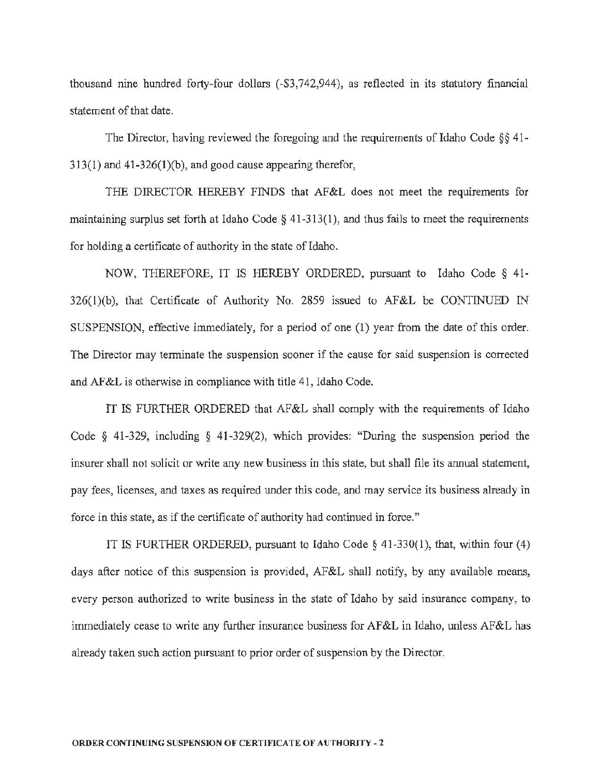thousand nine hundred forty-four dollars (-\$3,742,944), as reflected in its statutory financial statement of that date.

The Director, having reviewed the foregoing and the requirements of Idaho Code  $\S$ § 41-313(1) and 41-326(1)(b), and good cause appearing therefor,

THE DIRECTOR HEREBY FINDS that AF&L does not meet the requirements for maintaining surplus set forth at Idaho Code  $\S$  41-313(1), and thus fails to meet the requirements for holding a certificate of authority in the state of Idaho.

NOW, THEREFORE, IT IS HEREBY ORDERED, pursuant to Idaho Code § 41- 326(1)(b), that Certificate of Authority No. 2859 issued to AF&L be CONTINUED IN SUSPENSION, effective immediately, for a period of one (1) year from the date of this order. The Director may terminate the suspension sooner if the cause for said suspension is corrected and AF&L is otherwise in compliance with title 41, Idaho Code.

IT IS FURTHER ORDERED that AF&L shall comply with the requirements of Idaho Code § 41-329, including § 41-329(2), which provides: "During the suspension period the insurer shall not solicit or write any new business in this state, but shall file its annual statement, pay fees, licenses, and taxes as required under this code, and may service its business already in force in this state, as if the certificate of authority had continued in force."

IT IS FURTHER ORDERED, pursuant to Idaho Code§ 41-330(1), that, within four (4) days after notice of this suspension is provided, AF&L shall notify, by any available means, every person authorized to write business in the state of Idaho by said insurance company, to immediately cease to write any further insurance business for AF&L in Idaho, unless AF&L has already taken such action pursuant to prior order of suspension by the Director.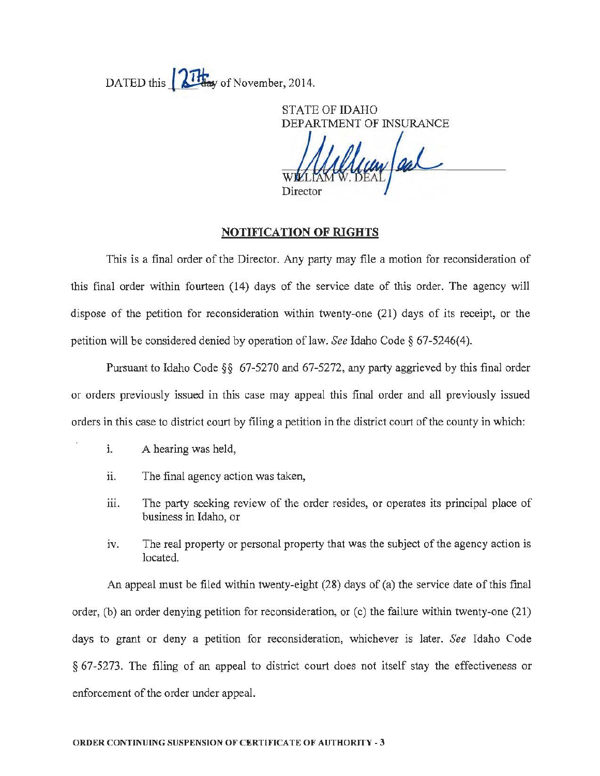DATED this **Figure** of November, 2014.

STATE OF IDAHO DEPARTMENT OF INSURANCE Director

#### NOTIF1CATION OF RIGHTS

This is a final order of the Director. Any party may file a motion for reconsideration of this final order within fourteen (14) days of the service date of this order. The agency will dispose of the petition for reconsideration within twenty-one (21) days of its receipt, or the petition will be considered denied by operation of law. *See* Idaho Code§ 67-5246(4).

Pursuant to Idaho Code§§ 67-5270 and 67-5272, any party aggrieved by this final order or orders previously issued in this case may appeal this final order and all previously issued orders in this case to district court by filing a petition in the district court of the county in which:

- 1. A hearing was held,
- ii. The final agency action was taken,
- iii. The party seeking review of the order resides, or operates its principal place of business in Idaho, or
- iv. The real property or personal property that was the subject of the agency action is located.

An appeal must be filed within twenty-eight (28) days of (a) the service date of this final order, (b) an order denying petition for reconsideration, or (c) the failure within twenty-one (21) days to grant or deny a petition for reconsideration, whichever is later. *See* Idaho Code § 67-5273. The filing of an appeal to district court does not itself stay the effectiveness or enforcement of the order under appeal.